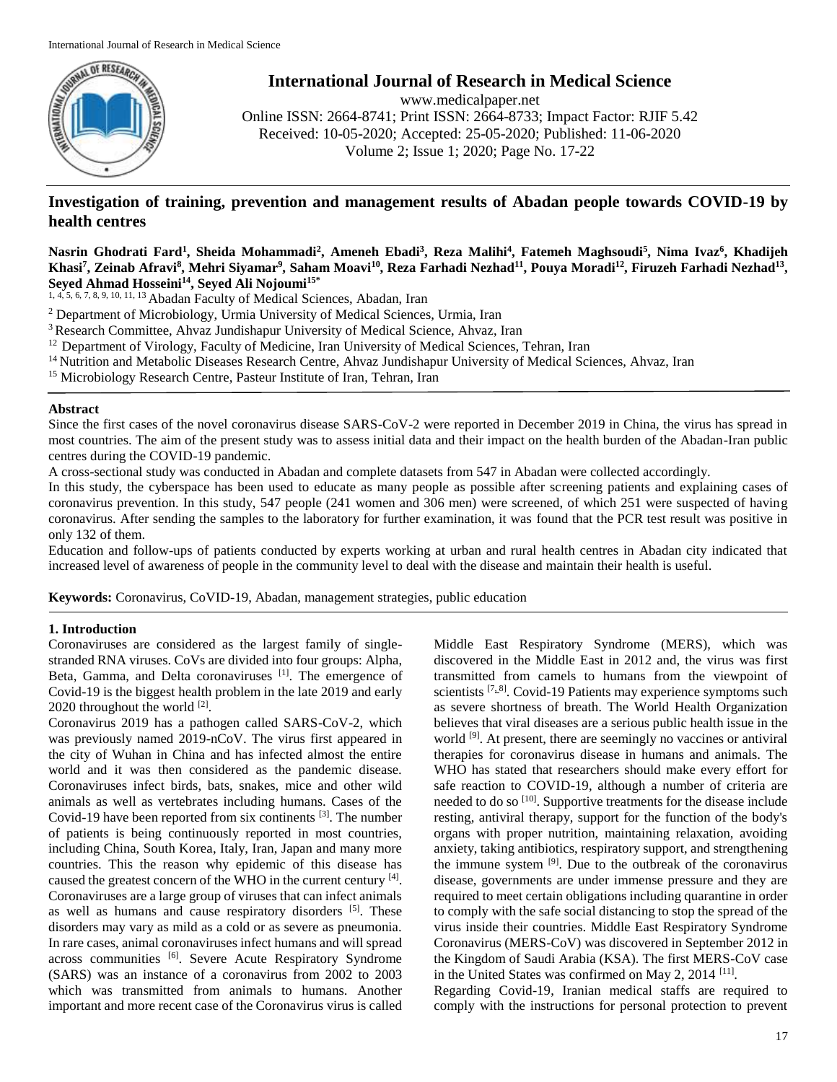

**International Journal of Research in Medical Science**

www.medicalpaper.net Online ISSN: 2664-8741; Print ISSN: 2664-8733; Impact Factor: RJIF 5.42 Received: 10-05-2020; Accepted: 25-05-2020; Published: 11-06-2020 Volume 2; Issue 1; 2020; Page No. 17-22

# **Investigation of training, prevention and management results of Abadan people towards COVID-19 by health centres**

**Nasrin Ghodrati Fard<sup>1</sup> , Sheida Mohammadi<sup>2</sup> , Ameneh Ebadi<sup>3</sup> , Reza Malihi<sup>4</sup> , Fatemeh Maghsoudi<sup>5</sup> , Nima Ivaz<sup>6</sup> , Khadijeh**  Khasi<sup>7</sup>, Zeinab Afravi<sup>8</sup>, Mehri Siyamar<sup>9</sup>, Saham Moavi<sup>10</sup>, Reza Farhadi Nezhad<sup>11</sup>, Pouya Moradi<sup>12</sup>, Firuzeh Farhadi Nezhad<sup>13</sup>, **Seyed Ahmad Hosseini<sup>14</sup>, Seyed Ali Nojoumi15\***

1, 4, 5, 6, 7, 8, 9, 10, 11, 13 Abadan Faculty of Medical Sciences, Abadan, Iran

- <sup>2</sup> Department of Microbiology, Urmia University of Medical Sciences, Urmia, Iran
- <sup>3</sup> Research Committee, Ahvaz Jundishapur University of Medical Science, Ahvaz, Iran
- $12$  Department of Virology, Faculty of Medicine, Iran University of Medical Sciences, Tehran, Iran
- <sup>14</sup> Nutrition and Metabolic Diseases Research Centre, Ahvaz Jundishapur University of Medical Sciences, Ahvaz, Iran

<sup>15</sup> Microbiology Research Centre, Pasteur Institute of Iran, Tehran, Iran

# **Abstract**

Since the first cases of the novel coronavirus disease SARS-CoV-2 were reported in December 2019 in China, the virus has spread in most countries. The aim of the present study was to assess initial data and their impact on the health burden of the Abadan-Iran public centres during the COVID-19 pandemic.

A cross-sectional study was conducted in Abadan and complete datasets from 547 in Abadan were collected accordingly.

In this study, the cyberspace has been used to educate as many people as possible after screening patients and explaining cases of coronavirus prevention. In this study, 547 people (241 women and 306 men) were screened, of which 251 were suspected of having coronavirus. After sending the samples to the laboratory for further examination, it was found that the PCR test result was positive in only 132 of them.

Education and follow-ups of patients conducted by experts working at urban and rural health centres in Abadan city indicated that increased level of awareness of people in the community level to deal with the disease and maintain their health is useful.

**Keywords:** Coronavirus, CoVID-19, Abadan, management strategies, public education

# **1. Introduction**

Coronaviruses are considered as the largest family of singlestranded RNA viruses. CoVs are divided into four groups: Alpha, Beta, Gamma, and Delta coronaviruses [1]. The emergence of Covid-19 is the biggest health problem in the late 2019 and early 2020 throughout the world  $^{[2]}$ .

Coronavirus 2019 has a pathogen called SARS-CoV-2, which was previously named 2019-nCoV. The virus first appeared in the city of Wuhan in China and has infected almost the entire world and it was then considered as the pandemic disease. Coronaviruses infect birds, bats, snakes, mice and other wild animals as well as vertebrates including humans. Cases of the Covid-19 have been reported from six continents<sup>[3]</sup>. The number of patients is being continuously reported in most countries, including China, South Korea, Italy, Iran, Japan and many more countries. This the reason why epidemic of this disease has caused the greatest concern of the WHO in the current century [4]. Coronaviruses are a large group of viruses that can infect animals as well as humans and cause respiratory disorders [5]. These disorders may vary as mild as a cold or as severe as pneumonia. In rare cases, animal coronaviruses infect humans and will spread across communities <a>[6]</a>. Severe Acute Respiratory Syndrome (SARS) was an instance of a coronavirus from 2002 to 2003 which was transmitted from animals to humans. Another important and more recent case of the Coronavirus virus is called Middle East Respiratory Syndrome (MERS), which was discovered in the Middle East in 2012 and, the virus was first transmitted from camels to humans from the viewpoint of scientists <a>[7,8]</a>. Covid-19 Patients may experience symptoms such as severe shortness of breath. The World Health Organization believes that viral diseases are a serious public health issue in the world <sup>[9]</sup>. At present, there are seemingly no vaccines or antiviral therapies for coronavirus disease in humans and animals. The WHO has stated that researchers should make every effort for safe reaction to COVID-19, although a number of criteria are needed to do so <sup>[10]</sup>. Supportive treatments for the disease include resting, antiviral therapy, support for the function of the body's organs with proper nutrition, maintaining relaxation, avoiding anxiety, taking antibiotics, respiratory support, and strengthening the immune system  $[9]$ . Due to the outbreak of the coronavirus disease, governments are under immense pressure and they are required to meet certain obligations including quarantine in order to comply with the safe social distancing to stop the spread of the virus inside their countries. Middle East Respiratory Syndrome Coronavirus (MERS-CoV) was discovered in September 2012 in the Kingdom of Saudi Arabia (KSA). The first MERS-CoV case in the United States was confirmed on May 2, 2014<sup>[11]</sup>.

Regarding Covid-19, Iranian medical staffs are required to comply with the instructions for personal protection to prevent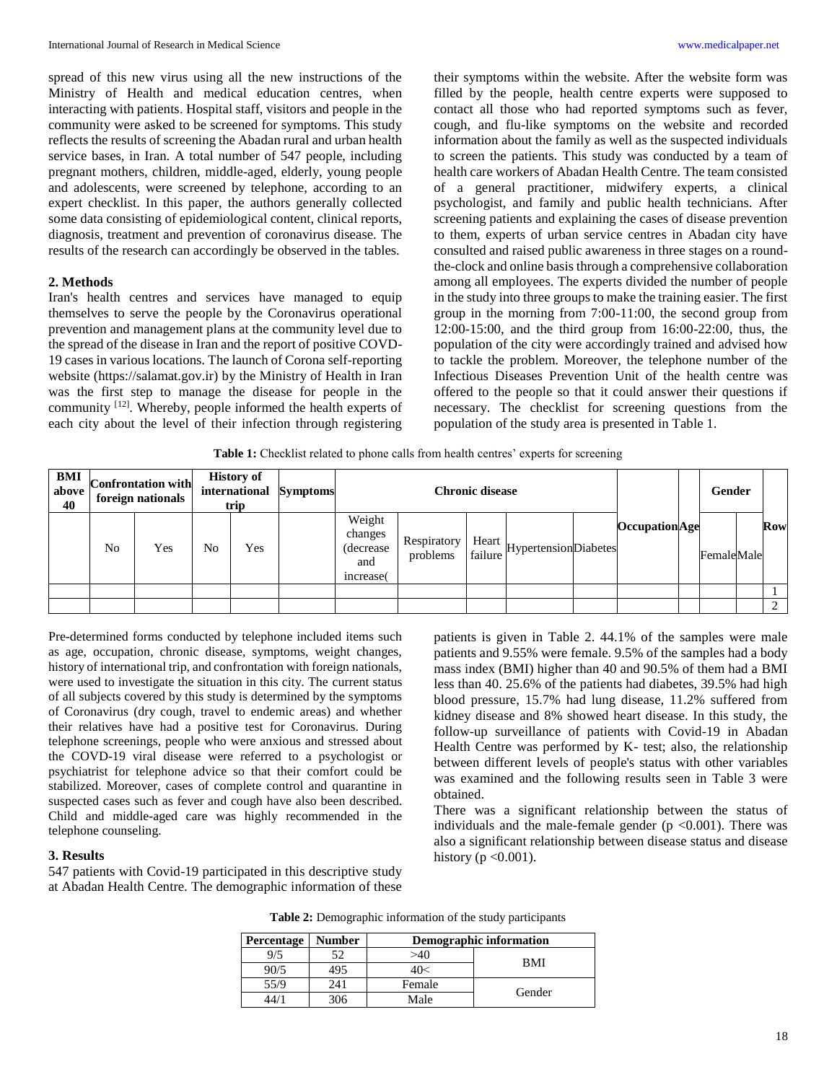spread of this new virus using all the new instructions of the Ministry of Health and medical education centres, when interacting with patients. Hospital staff, visitors and people in the community were asked to be screened for symptoms. This study reflects the results of screening the Abadan rural and urban health service bases, in Iran. A total number of 547 people, including pregnant mothers, children, middle-aged, elderly, young people and adolescents, were screened by telephone, according to an expert checklist. In this paper, the authors generally collected some data consisting of epidemiological content, clinical reports, diagnosis, treatment and prevention of coronavirus disease. The results of the research can accordingly be observed in the tables.

#### **2. Methods**

Iran's health centres and services have managed to equip themselves to serve the people by the Coronavirus operational prevention and management plans at the community level due to the spread of the disease in Iran and the report of positive COVD-19 cases in various locations. The launch of Corona self-reporting website (https://salamat.gov.ir) by the Ministry of Health in Iran was the first step to manage the disease for people in the community <sup>[12]</sup>. Whereby, people informed the health experts of each city about the level of their infection through registering

their symptoms within the website. After the website form was filled by the people, health centre experts were supposed to contact all those who had reported symptoms such as fever, cough, and flu-like symptoms on the website and recorded information about the family as well as the suspected individuals to screen the patients. This study was conducted by a team of health care workers of Abadan Health Centre. The team consisted of a general practitioner, midwifery experts, a clinical psychologist, and family and public health technicians. After screening patients and explaining the cases of disease prevention to them, experts of urban service centres in Abadan city have consulted and raised public awareness in three stages on a roundthe-clock and online basis through a comprehensive collaboration among all employees. The experts divided the number of people in the study into three groups to make the training easier. The first group in the morning from 7:00-11:00, the second group from 12:00-15:00, and the third group from 16:00-22:00, thus, the population of the city were accordingly trained and advised how to tackle the problem. Moreover, the telephone number of the Infectious Diseases Prevention Unit of the health centre was offered to the people so that it could answer their questions if necessary. The checklist for screening questions from the population of the study area is presented in Table 1.

**Table 1:** Checklist related to phone calls from health centres' experts for screening

| BMI<br>above<br>40 | <b>Confrontation with</b><br>foreign nationals |     |    | <b>History of</b><br>trip | international Symptoms | <b>Chronic disease</b>                             |                         |                                        | Gender                |            |          |
|--------------------|------------------------------------------------|-----|----|---------------------------|------------------------|----------------------------------------------------|-------------------------|----------------------------------------|-----------------------|------------|----------|
|                    | N <sub>0</sub>                                 | Yes | No | Yes                       |                        | Weight<br>changes<br>(decrease)<br>and<br>increase | Respiratory<br>problems | Heart<br>failure Hypertension Diabetes | <b>Occupation</b> Age | FemaleMale | Row      |
|                    |                                                |     |    |                           |                        |                                                    |                         |                                        |                       |            |          |
|                    |                                                |     |    |                           |                        |                                                    |                         |                                        |                       |            | $\gamma$ |

Pre-determined forms conducted by telephone included items such as age, occupation, chronic disease, symptoms, weight changes, history of international trip, and confrontation with foreign nationals, were used to investigate the situation in this city. The current status of all subjects covered by this study is determined by the symptoms of Coronavirus (dry cough, travel to endemic areas) and whether their relatives have had a positive test for Coronavirus. During telephone screenings, people who were anxious and stressed about the COVD-19 viral disease were referred to a psychologist or psychiatrist for telephone advice so that their comfort could be stabilized. Moreover, cases of complete control and quarantine in suspected cases such as fever and cough have also been described. Child and middle-aged care was highly recommended in the telephone counseling.

#### **3. Results**

547 patients with Covid-19 participated in this descriptive study at Abadan Health Centre. The demographic information of these

patients is given in Table 2. 44.1% of the samples were male patients and 9.55% were female. 9.5% of the samples had a body mass index (BMI) higher than 40 and 90.5% of them had a BMI less than 40. 25.6% of the patients had diabetes, 39.5% had high blood pressure, 15.7% had lung disease, 11.2% suffered from kidney disease and 8% showed heart disease. In this study, the follow-up surveillance of patients with Covid-19 in Abadan Health Centre was performed by K- test; also, the relationship between different levels of people's status with other variables was examined and the following results seen in Table 3 were obtained.

There was a significant relationship between the status of individuals and the male-female gender ( $p$  <0.001). There was also a significant relationship between disease status and disease history ( $p < 0.001$ ).

| Percentage | <b>Number</b> |        | Demographic information |  |  |  |
|------------|---------------|--------|-------------------------|--|--|--|
| 9/5        | 52            | >40    | <b>BMI</b>              |  |  |  |
| 90/5       | 495           | 40<    |                         |  |  |  |
| 55/9       | 241           | Female | Gender                  |  |  |  |
|            | 306           | Male   |                         |  |  |  |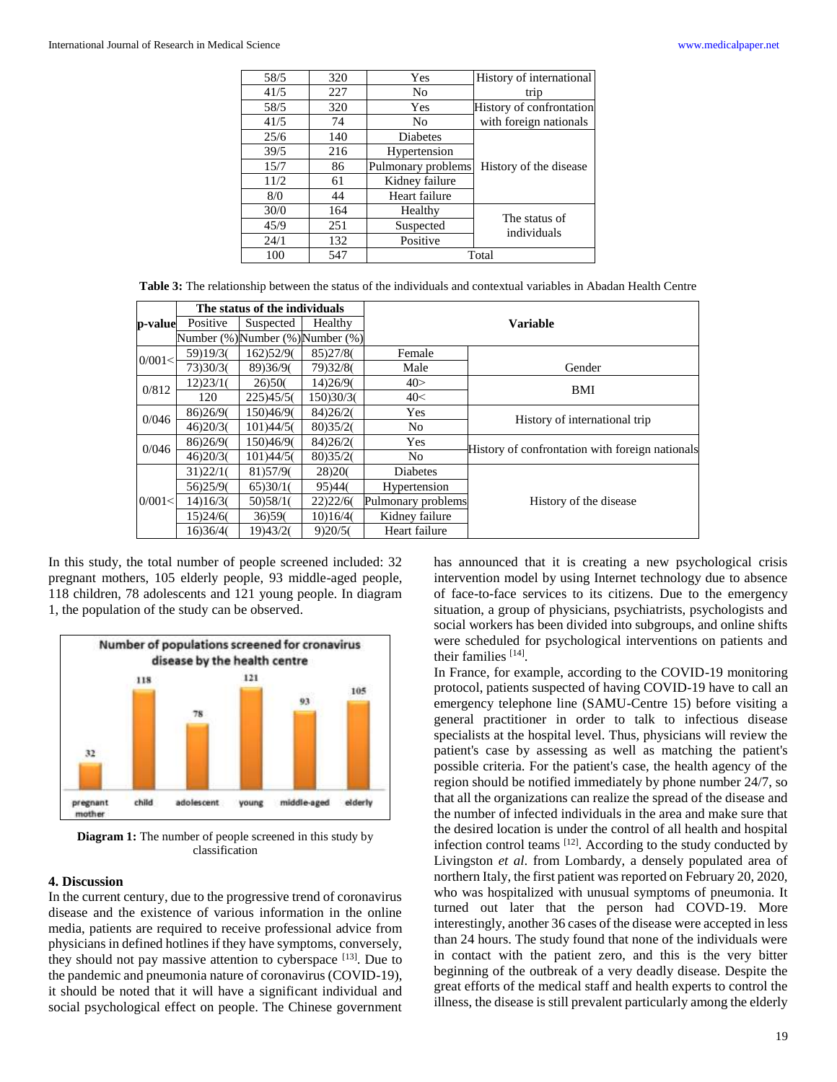| 58/5 | 320 | Yes                | History of international     |  |
|------|-----|--------------------|------------------------------|--|
| 41/5 | 227 | No                 | trip                         |  |
| 58/5 | 320 | Yes                | History of confrontation     |  |
| 41/5 | 74  | No                 | with foreign nationals       |  |
| 25/6 | 140 | Diabetes           |                              |  |
| 39/5 | 216 | Hypertension       |                              |  |
| 15/7 | 86  | Pulmonary problems | History of the disease       |  |
| 11/2 | 61  | Kidney failure     |                              |  |
| 8/0  | 44  | Heart failure      |                              |  |
| 30/0 | 164 | Healthy            |                              |  |
| 45/9 | 251 | Suspected          | The status of<br>individuals |  |
| 24/1 | 132 | Positive           |                              |  |
| 100  | 547 |                    | Total                        |  |

|         |                                  | The status of the individuals |           |                    |                                                 |  |  |  |
|---------|----------------------------------|-------------------------------|-----------|--------------------|-------------------------------------------------|--|--|--|
| p-value | Positive                         | Suspected                     | Healthy   | <b>Variable</b>    |                                                 |  |  |  |
|         | Number (%) Number (%) Number (%) |                               |           |                    |                                                 |  |  |  |
| 0/001<  | 59)19/3(                         | 162)52/9(                     | 85)27/8(  | Female             |                                                 |  |  |  |
|         | 73)30/3(                         | 89)36/9(                      | 79)32/8(  | Male               | Gender                                          |  |  |  |
| 0/812   | 12)23/1(                         | 26)50(                        | 14)26/9(  | 40>                | BMI                                             |  |  |  |
|         | 120                              | 225)45/5(                     | 150)30/3( | 40<                |                                                 |  |  |  |
| 0/046   | 86)26/9(                         | 150)46/9(                     | 84)26/20  | Yes                | History of international trip                   |  |  |  |
|         | 46)20/3(                         | 101)44/5(                     | 80)35/2(  | N <sub>o</sub>     |                                                 |  |  |  |
| 0/046   | 86)26/9(                         | 150)46/9(                     | 84)26/2(  | <b>Yes</b>         | History of confrontation with foreign nationals |  |  |  |
|         | 46)20/3(                         | 101)44/5(                     | 80)35/2(  | N <sub>0</sub>     |                                                 |  |  |  |
| 0/001<  | 31)22/1(                         | 81) 57/9(                     | 28) 20(   | <b>Diabetes</b>    |                                                 |  |  |  |
|         | 56)25/90                         | 65)30/1(                      | 95)44(    | Hypertension       |                                                 |  |  |  |
|         | 14)16/3(                         | 50)58/1(                      | 22)22/6(  | Pulmonary problems | History of the disease                          |  |  |  |
|         | 15)24/6(                         | 36)59(                        | 10)16/4(  | Kidney failure     |                                                 |  |  |  |
|         | 16)36/4(                         | 19)43/2(                      | 9)20/5(   | Heart failure      |                                                 |  |  |  |

In this study, the total number of people screened included: 32 pregnant mothers, 105 elderly people, 93 middle-aged people, 118 children, 78 adolescents and 121 young people. In diagram 1, the population of the study can be observed.



**Diagram 1:** The number of people screened in this study by classification

## **4. Discussion**

In the current century, due to the progressive trend of coronavirus disease and the existence of various information in the online media, patients are required to receive professional advice from physicians in defined hotlines if they have symptoms, conversely, they should not pay massive attention to cyberspace [13]. Due to the pandemic and pneumonia nature of coronavirus (COVID-19), it should be noted that it will have a significant individual and social psychological effect on people. The Chinese government

has announced that it is creating a new psychological crisis intervention model by using Internet technology due to absence of face-to-face services to its citizens. Due to the emergency situation, a group of physicians, psychiatrists, psychologists and social workers has been divided into subgroups, and online shifts were scheduled for psychological interventions on patients and their families [14].

In France, for example, according to the COVID-19 monitoring protocol, patients suspected of having COVID-19 have to call an emergency telephone line (SAMU-Centre 15) before visiting a general practitioner in order to talk to infectious disease specialists at the hospital level. Thus, physicians will review the patient's case by assessing as well as matching the patient's possible criteria. For the patient's case, the health agency of the region should be notified immediately by phone number 24/7, so that all the organizations can realize the spread of the disease and the number of infected individuals in the area and make sure that the desired location is under the control of all health and hospital infection control teams [12]. According to the study conducted by Livingston *et al*. from Lombardy, a densely populated area of northern Italy, the first patient was reported on February 20, 2020, who was hospitalized with unusual symptoms of pneumonia. It turned out later that the person had COVD-19. More interestingly, another 36 cases of the disease were accepted in less than 24 hours. The study found that none of the individuals were in contact with the patient zero, and this is the very bitter beginning of the outbreak of a very deadly disease. Despite the great efforts of the medical staff and health experts to control the illness, the disease is still prevalent particularly among the elderly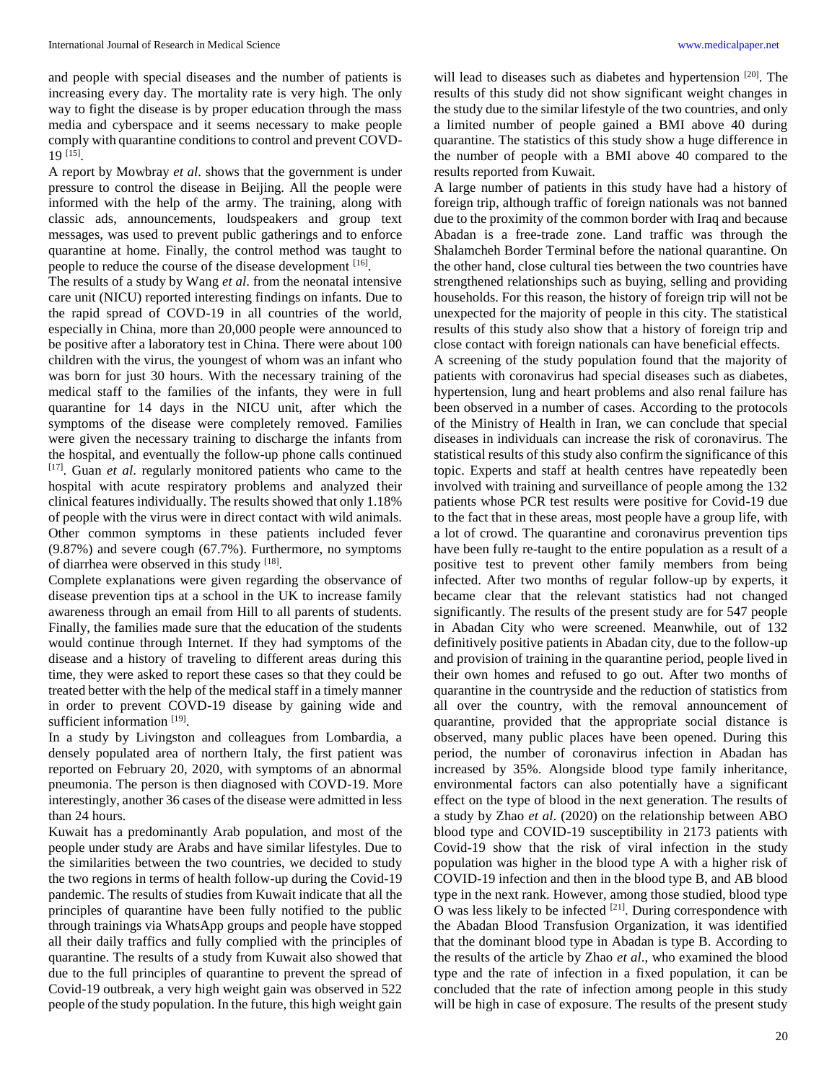and people with special diseases and the number of patients is increasing every day. The mortality rate is very high. The only way to fight the disease is by proper education through the mass media and cyberspace and it seems necessary to make people comply with quarantine conditions to control and prevent COVD-19 [15] .

A report by Mowbray *et al*. shows that the government is under pressure to control the disease in Beijing. All the people were informed with the help of the army. The training, along with classic ads, announcements, loudspeakers and group text messages, was used to prevent public gatherings and to enforce quarantine at home. Finally, the control method was taught to people to reduce the course of the disease development [16].

The results of a study by Wang *et al*. from the neonatal intensive care unit (NICU) reported interesting findings on infants. Due to the rapid spread of COVD-19 in all countries of the world, especially in China, more than 20,000 people were announced to be positive after a laboratory test in China. There were about 100 children with the virus, the youngest of whom was an infant who was born for just 30 hours. With the necessary training of the medical staff to the families of the infants, they were in full quarantine for 14 days in the NICU unit, after which the symptoms of the disease were completely removed. Families were given the necessary training to discharge the infants from the hospital, and eventually the follow-up phone calls continued [17] . Guan *et al*. regularly monitored patients who came to the hospital with acute respiratory problems and analyzed their clinical features individually. The results showed that only 1.18% of people with the virus were in direct contact with wild animals. Other common symptoms in these patients included fever (9.87%) and severe cough (67.7%). Furthermore, no symptoms of diarrhea were observed in this study [18].

Complete explanations were given regarding the observance of disease prevention tips at a school in the UK to increase family awareness through an email from Hill to all parents of students. Finally, the families made sure that the education of the students would continue through Internet. If they had symptoms of the disease and a history of traveling to different areas during this time, they were asked to report these cases so that they could be treated better with the help of the medical staff in a timely manner in order to prevent COVD-19 disease by gaining wide and sufficient information<sup>[19]</sup>.

In a study by Livingston and colleagues from Lombardia, a densely populated area of northern Italy, the first patient was reported on February 20, 2020, with symptoms of an abnormal pneumonia. The person is then diagnosed with COVD-19. More interestingly, another 36 cases of the disease were admitted in less than 24 hours.

Kuwait has a predominantly Arab population, and most of the people under study are Arabs and have similar lifestyles. Due to the similarities between the two countries, we decided to study the two regions in terms of health follow-up during the Covid-19 pandemic. The results of studies from Kuwait indicate that all the principles of quarantine have been fully notified to the public through trainings via WhatsApp groups and people have stopped all their daily traffics and fully complied with the principles of quarantine. The results of a study from Kuwait also showed that due to the full principles of quarantine to prevent the spread of Covid-19 outbreak, a very high weight gain was observed in 522 people of the study population. In the future, this high weight gain

will lead to diseases such as diabetes and hypertension<sup>[20]</sup>. The results of this study did not show significant weight changes in the study due to the similar lifestyle of the two countries, and only a limited number of people gained a BMI above 40 during quarantine. The statistics of this study show a huge difference in the number of people with a BMI above 40 compared to the results reported from Kuwait.

A large number of patients in this study have had a history of foreign trip, although traffic of foreign nationals was not banned due to the proximity of the common border with Iraq and because Abadan is a free-trade zone. Land traffic was through the Shalamcheh Border Terminal before the national quarantine. On the other hand, close cultural ties between the two countries have strengthened relationships such as buying, selling and providing households. For this reason, the history of foreign trip will not be unexpected for the majority of people in this city. The statistical results of this study also show that a history of foreign trip and close contact with foreign nationals can have beneficial effects.

A screening of the study population found that the majority of patients with coronavirus had special diseases such as diabetes, hypertension, lung and heart problems and also renal failure has been observed in a number of cases. According to the protocols of the Ministry of Health in Iran, we can conclude that special diseases in individuals can increase the risk of coronavirus. The statistical results of this study also confirm the significance of this topic. Experts and staff at health centres have repeatedly been involved with training and surveillance of people among the 132 patients whose PCR test results were positive for Covid-19 due to the fact that in these areas, most people have a group life, with a lot of crowd. The quarantine and coronavirus prevention tips have been fully re-taught to the entire population as a result of a positive test to prevent other family members from being infected. After two months of regular follow-up by experts, it became clear that the relevant statistics had not changed significantly. The results of the present study are for 547 people in Abadan City who were screened. Meanwhile, out of 132 definitively positive patients in Abadan city, due to the follow-up and provision of training in the quarantine period, people lived in their own homes and refused to go out. After two months of quarantine in the countryside and the reduction of statistics from all over the country, with the removal announcement of quarantine, provided that the appropriate social distance is observed, many public places have been opened. During this period, the number of coronavirus infection in Abadan has increased by 35%. Alongside blood type family inheritance, environmental factors can also potentially have a significant effect on the type of blood in the next generation. The results of a study by Zhao *et al*. (2020) on the relationship between ABO blood type and COVID-19 susceptibility in 2173 patients with Covid-19 show that the risk of viral infection in the study population was higher in the blood type A with a higher risk of COVID-19 infection and then in the blood type B, and AB blood type in the next rank. However, among those studied, blood type O was less likely to be infected  $[21]$ . During correspondence with the Abadan Blood Transfusion Organization, it was identified that the dominant blood type in Abadan is type B. According to the results of the article by Zhao *et al*., who examined the blood type and the rate of infection in a fixed population, it can be concluded that the rate of infection among people in this study will be high in case of exposure. The results of the present study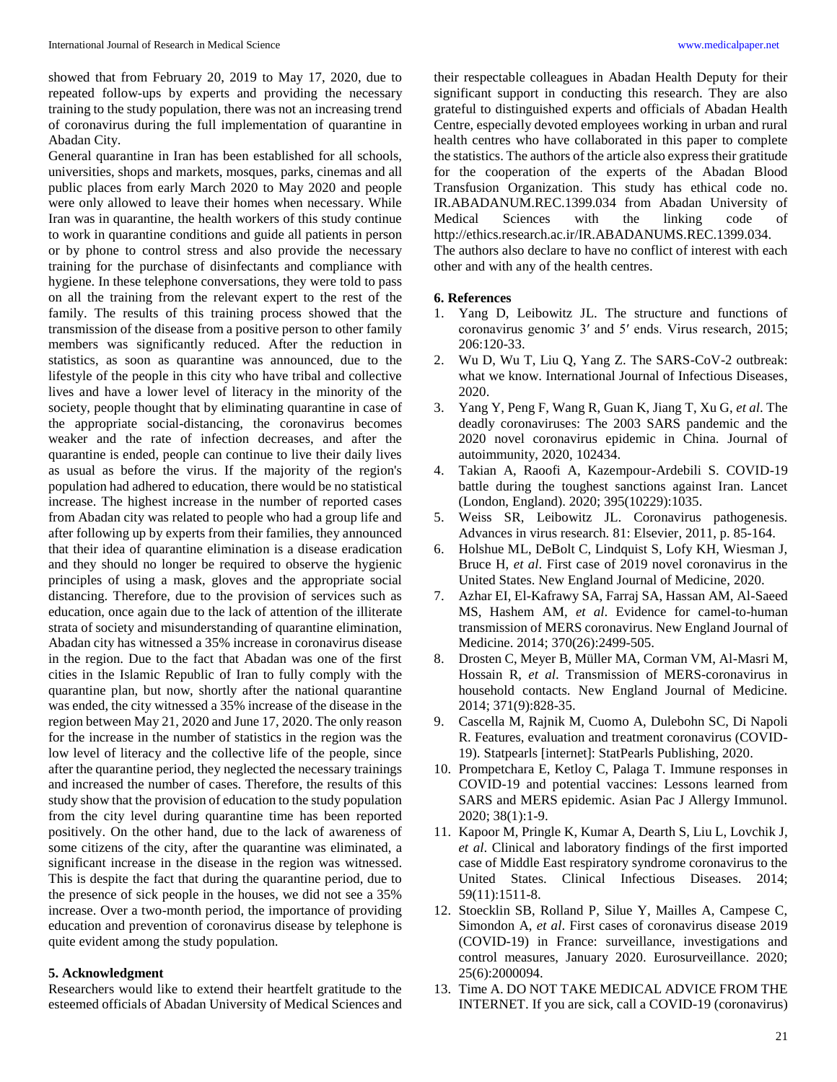showed that from February 20, 2019 to May 17, 2020, due to repeated follow-ups by experts and providing the necessary training to the study population, there was not an increasing trend of coronavirus during the full implementation of quarantine in Abadan City.

General quarantine in Iran has been established for all schools, universities, shops and markets, mosques, parks, cinemas and all public places from early March 2020 to May 2020 and people were only allowed to leave their homes when necessary. While Iran was in quarantine, the health workers of this study continue to work in quarantine conditions and guide all patients in person or by phone to control stress and also provide the necessary training for the purchase of disinfectants and compliance with hygiene. In these telephone conversations, they were told to pass on all the training from the relevant expert to the rest of the family. The results of this training process showed that the transmission of the disease from a positive person to other family members was significantly reduced. After the reduction in statistics, as soon as quarantine was announced, due to the lifestyle of the people in this city who have tribal and collective lives and have a lower level of literacy in the minority of the society, people thought that by eliminating quarantine in case of the appropriate social-distancing, the coronavirus becomes weaker and the rate of infection decreases, and after the quarantine is ended, people can continue to live their daily lives as usual as before the virus. If the majority of the region's population had adhered to education, there would be no statistical increase. The highest increase in the number of reported cases from Abadan city was related to people who had a group life and after following up by experts from their families, they announced that their idea of quarantine elimination is a disease eradication and they should no longer be required to observe the hygienic principles of using a mask, gloves and the appropriate social distancing. Therefore, due to the provision of services such as education, once again due to the lack of attention of the illiterate strata of society and misunderstanding of quarantine elimination, Abadan city has witnessed a 35% increase in coronavirus disease in the region. Due to the fact that Abadan was one of the first cities in the Islamic Republic of Iran to fully comply with the quarantine plan, but now, shortly after the national quarantine was ended, the city witnessed a 35% increase of the disease in the region between May 21, 2020 and June 17, 2020. The only reason for the increase in the number of statistics in the region was the low level of literacy and the collective life of the people, since after the quarantine period, they neglected the necessary trainings and increased the number of cases. Therefore, the results of this study show that the provision of education to the study population from the city level during quarantine time has been reported positively. On the other hand, due to the lack of awareness of some citizens of the city, after the quarantine was eliminated, a significant increase in the disease in the region was witnessed. This is despite the fact that during the quarantine period, due to the presence of sick people in the houses, we did not see a 35% increase. Over a two-month period, the importance of providing education and prevention of coronavirus disease by telephone is quite evident among the study population.

# **5. Acknowledgment**

Researchers would like to extend their heartfelt gratitude to the esteemed officials of Abadan University of Medical Sciences and

their respectable colleagues in Abadan Health Deputy for their significant support in conducting this research. They are also grateful to distinguished experts and officials of Abadan Health Centre, especially devoted employees working in urban and rural health centres who have collaborated in this paper to complete the statistics. The authors of the article also express their gratitude for the cooperation of the experts of the Abadan Blood Transfusion Organization. This study has ethical code no. IR.ABADANUM.REC.1399.034 from Abadan University of Medical Sciences with the linking code of http://ethics.research.ac.ir/IR.ABADANUMS.REC.1399.034. The authors also declare to have no conflict of interest with each other and with any of the health centres.

# **6. References**

- 1. Yang D, Leibowitz JL. The structure and functions of coronavirus genomic 3′ and 5′ ends. Virus research, 2015; 206:120-33.
- 2. Wu D, Wu T, Liu Q, Yang Z. The SARS-CoV-2 outbreak: what we know. International Journal of Infectious Diseases, 2020.
- 3. Yang Y, Peng F, Wang R, Guan K, Jiang T, Xu G, *et al*. The deadly coronaviruses: The 2003 SARS pandemic and the 2020 novel coronavirus epidemic in China. Journal of autoimmunity, 2020, 102434.
- 4. Takian A, Raoofi A, Kazempour-Ardebili S. COVID-19 battle during the toughest sanctions against Iran. Lancet (London, England). 2020; 395(10229):1035.
- 5. Weiss SR, Leibowitz JL. Coronavirus pathogenesis. Advances in virus research. 81: Elsevier, 2011, p. 85-164.
- 6. Holshue ML, DeBolt C, Lindquist S, Lofy KH, Wiesman J, Bruce H, *et al*. First case of 2019 novel coronavirus in the United States. New England Journal of Medicine, 2020.
- 7. Azhar EI, El-Kafrawy SA, Farraj SA, Hassan AM, Al-Saeed MS, Hashem AM, *et al*. Evidence for camel-to-human transmission of MERS coronavirus. New England Journal of Medicine. 2014; 370(26):2499-505.
- 8. Drosten C, Meyer B, Müller MA, Corman VM, Al-Masri M, Hossain R, *et al*. Transmission of MERS-coronavirus in household contacts. New England Journal of Medicine. 2014; 371(9):828-35.
- 9. Cascella M, Rajnik M, Cuomo A, Dulebohn SC, Di Napoli R. Features, evaluation and treatment coronavirus (COVID-19). Statpearls [internet]: StatPearls Publishing, 2020.
- 10. Prompetchara E, Ketloy C, Palaga T. Immune responses in COVID-19 and potential vaccines: Lessons learned from SARS and MERS epidemic. Asian Pac J Allergy Immunol. 2020; 38(1):1-9.
- 11. Kapoor M, Pringle K, Kumar A, Dearth S, Liu L, Lovchik J, *et al*. Clinical and laboratory findings of the first imported case of Middle East respiratory syndrome coronavirus to the United States. Clinical Infectious Diseases. 2014; 59(11):1511-8.
- 12. Stoecklin SB, Rolland P, Silue Y, Mailles A, Campese C, Simondon A, *et al*. First cases of coronavirus disease 2019 (COVID-19) in France: surveillance, investigations and control measures, January 2020. Eurosurveillance. 2020; 25(6):2000094.
- 13. Time A. DO NOT TAKE MEDICAL ADVICE FROM THE INTERNET. If you are sick, call a COVID-19 (coronavirus)